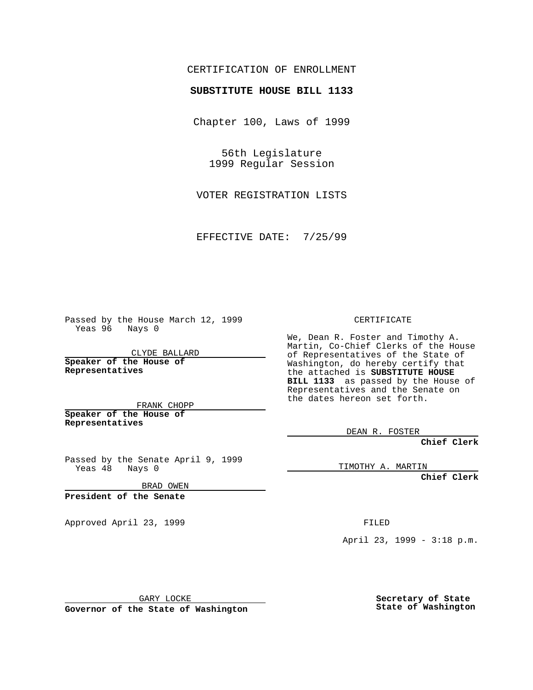## CERTIFICATION OF ENROLLMENT

# **SUBSTITUTE HOUSE BILL 1133**

Chapter 100, Laws of 1999

56th Legislature 1999 Regular Session

VOTER REGISTRATION LISTS

EFFECTIVE DATE: 7/25/99

Passed by the House March 12, 1999 Yeas 96 Nays 0

CLYDE BALLARD **Speaker of the House of Representatives**

FRANK CHOPP **Speaker of the House of**

**Representatives**

Passed by the Senate April 9, 1999 Yeas 48 Nays 0

BRAD OWEN

**President of the Senate**

Approved April 23, 1999 FILED

#### CERTIFICATE

We, Dean R. Foster and Timothy A. Martin, Co-Chief Clerks of the House of Representatives of the State of Washington, do hereby certify that the attached is **SUBSTITUTE HOUSE BILL 1133** as passed by the House of Representatives and the Senate on the dates hereon set forth.

DEAN R. FOSTER

**Chief Clerk**

TIMOTHY A. MARTIN

**Chief Clerk**

April 23, 1999 - 3:18 p.m.

GARY LOCKE

**Governor of the State of Washington**

**Secretary of State State of Washington**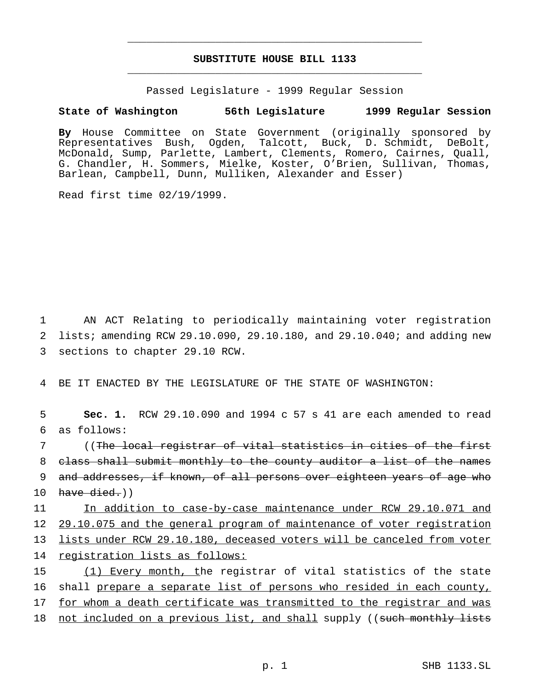## **SUBSTITUTE HOUSE BILL 1133** \_\_\_\_\_\_\_\_\_\_\_\_\_\_\_\_\_\_\_\_\_\_\_\_\_\_\_\_\_\_\_\_\_\_\_\_\_\_\_\_\_\_\_\_\_\_\_

\_\_\_\_\_\_\_\_\_\_\_\_\_\_\_\_\_\_\_\_\_\_\_\_\_\_\_\_\_\_\_\_\_\_\_\_\_\_\_\_\_\_\_\_\_\_\_

Passed Legislature - 1999 Regular Session

## **State of Washington 56th Legislature 1999 Regular Session**

**By** House Committee on State Government (originally sponsored by Representatives Bush, Ogden, Talcott, Buck, D. Schmidt, DeBolt, McDonald, Sump, Parlette, Lambert, Clements, Romero, Cairnes, Quall, G. Chandler, H. Sommers, Mielke, Koster, O'Brien, Sullivan, Thomas, Barlean, Campbell, Dunn, Mulliken, Alexander and Esser)

Read first time 02/19/1999.

1 AN ACT Relating to periodically maintaining voter registration 2 lists; amending RCW 29.10.090, 29.10.180, and 29.10.040; and adding new 3 sections to chapter 29.10 RCW.

4 BE IT ENACTED BY THE LEGISLATURE OF THE STATE OF WASHINGTON:

5 **Sec. 1.** RCW 29.10.090 and 1994 c 57 s 41 are each amended to read 6 as follows:

 ((The local registrar of vital statistics in cities of the first class shall submit monthly to the county auditor a list of the names and addresses, if known, of all persons over eighteen years of age who 10 have  $\text{died.}$ ))

 In addition to case-by-case maintenance under RCW 29.10.071 and 29.10.075 and the general program of maintenance of voter registration lists under RCW 29.10.180, deceased voters will be canceled from voter 14 registration lists as follows:

15 (1) Every month, the registrar of vital statistics of the state 16 shall prepare a separate list of persons who resided in each county, 17 for whom a death certificate was transmitted to the registrar and was

18 not included on a previous list, and shall supply ((such monthly lists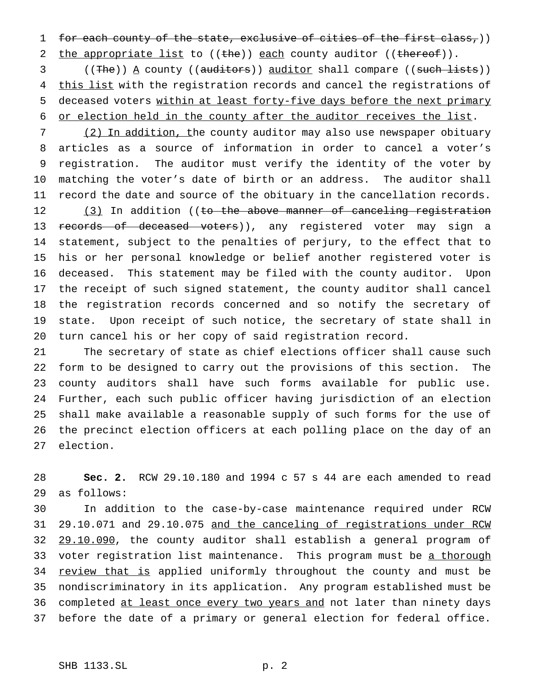1 for each county of the state, exclusive of cities of the first class,))

2 the appropriate list to ((the)) each county auditor ((thereof)).

3 ((The)) <u>A</u> county ((auditors)) auditor shall compare ((such lists)) 4 this list with the registration records and cancel the registrations of deceased voters within at least forty-five days before the next primary or election held in the county after the auditor receives the list.

7 (2) In addition, the county auditor may also use newspaper obituary articles as a source of information in order to cancel a voter's registration. The auditor must verify the identity of the voter by matching the voter's date of birth or an address. The auditor shall record the date and source of the obituary in the cancellation records. 12 (3) In addition ((to the above manner of canceling registration 13 records of deceased voters)), any registered voter may sign a statement, subject to the penalties of perjury, to the effect that to his or her personal knowledge or belief another registered voter is deceased. This statement may be filed with the county auditor. Upon the receipt of such signed statement, the county auditor shall cancel the registration records concerned and so notify the secretary of state. Upon receipt of such notice, the secretary of state shall in turn cancel his or her copy of said registration record.

 The secretary of state as chief elections officer shall cause such form to be designed to carry out the provisions of this section. The county auditors shall have such forms available for public use. Further, each such public officer having jurisdiction of an election shall make available a reasonable supply of such forms for the use of the precinct election officers at each polling place on the day of an election.

 **Sec. 2.** RCW 29.10.180 and 1994 c 57 s 44 are each amended to read as follows:

 In addition to the case-by-case maintenance required under RCW 29.10.071 and 29.10.075 and the canceling of registrations under RCW 32 29.10.090, the county auditor shall establish a general program of 33 voter registration list maintenance. This program must be a thorough 34 review that is applied uniformly throughout the county and must be nondiscriminatory in its application. Any program established must be 36 completed at least once every two years and not later than ninety days before the date of a primary or general election for federal office.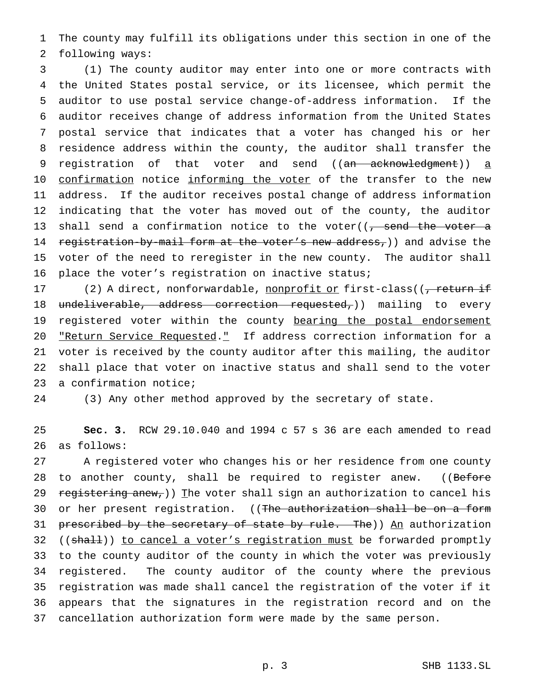The county may fulfill its obligations under this section in one of the following ways:

 (1) The county auditor may enter into one or more contracts with the United States postal service, or its licensee, which permit the auditor to use postal service change-of-address information. If the auditor receives change of address information from the United States postal service that indicates that a voter has changed his or her residence address within the county, the auditor shall transfer the 9 registration of that voter and send ((an acknowledgment)) a 10 confirmation notice informing the voter of the transfer to the new address. If the auditor receives postal change of address information indicating that the voter has moved out of the county, the auditor 13 shall send a confirmation notice to the voter( $\sqrt{2}$ , send the voter a 14 registration-by-mail form at the voter's new address,)) and advise the voter of the need to reregister in the new county. The auditor shall place the voter's registration on inactive status;

17 (2) A direct, nonforwardable, nonprofit or first-class((<del>, return if</del> 18 undeliverable, address correction requested,)) mailing to every 19 registered voter within the county bearing the postal endorsement 20 "Return Service Requested." If address correction information for a voter is received by the county auditor after this mailing, the auditor shall place that voter on inactive status and shall send to the voter a confirmation notice;

(3) Any other method approved by the secretary of state.

 **Sec. 3.** RCW 29.10.040 and 1994 c 57 s 36 are each amended to read as follows:

 A registered voter who changes his or her residence from one county 28 to another county, shall be required to register anew. ((Before 29 registering anew,)) The voter shall sign an authorization to cancel his 30 or her present registration. ((The authorization shall be on a form 31 prescribed by the secretary of state by rule. The))  $\underline{An}$  authorization 32 ((shall)) to cancel a voter's registration must be forwarded promptly to the county auditor of the county in which the voter was previously registered. The county auditor of the county where the previous registration was made shall cancel the registration of the voter if it appears that the signatures in the registration record and on the cancellation authorization form were made by the same person.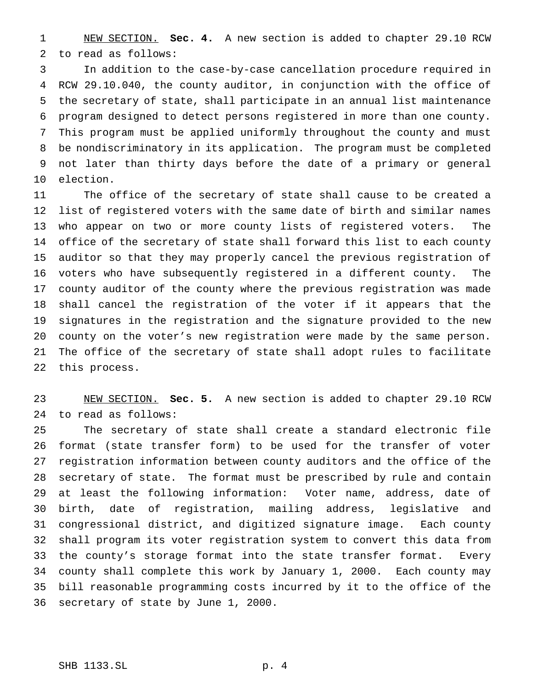NEW SECTION. **Sec. 4.** A new section is added to chapter 29.10 RCW to read as follows:

 In addition to the case-by-case cancellation procedure required in RCW 29.10.040, the county auditor, in conjunction with the office of the secretary of state, shall participate in an annual list maintenance program designed to detect persons registered in more than one county. This program must be applied uniformly throughout the county and must be nondiscriminatory in its application. The program must be completed not later than thirty days before the date of a primary or general election.

 The office of the secretary of state shall cause to be created a list of registered voters with the same date of birth and similar names who appear on two or more county lists of registered voters. The office of the secretary of state shall forward this list to each county auditor so that they may properly cancel the previous registration of voters who have subsequently registered in a different county. The county auditor of the county where the previous registration was made shall cancel the registration of the voter if it appears that the signatures in the registration and the signature provided to the new county on the voter's new registration were made by the same person. The office of the secretary of state shall adopt rules to facilitate this process.

 NEW SECTION. **Sec. 5.** A new section is added to chapter 29.10 RCW to read as follows:

 The secretary of state shall create a standard electronic file format (state transfer form) to be used for the transfer of voter registration information between county auditors and the office of the secretary of state. The format must be prescribed by rule and contain at least the following information: Voter name, address, date of birth, date of registration, mailing address, legislative and congressional district, and digitized signature image. Each county shall program its voter registration system to convert this data from the county's storage format into the state transfer format. Every county shall complete this work by January 1, 2000. Each county may bill reasonable programming costs incurred by it to the office of the secretary of state by June 1, 2000.